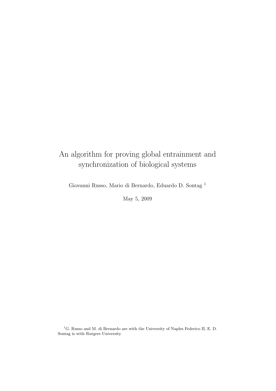## An algorithm for proving global entrainment and synchronization of biological systems

Giovanni Russo, Mario di Bernardo, Eduardo D. Sontag <sup>1</sup>

May 5, 2009

 $^{1}$ G. Russo and M. di Bernardo are with the University of Naples Federico II, E. D. Sontag is with Rutgers University